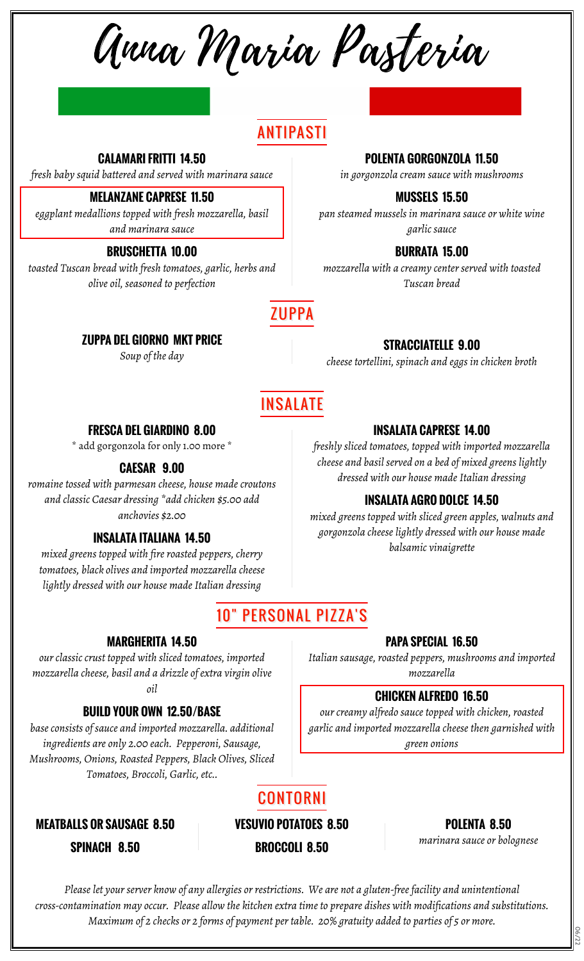Anna Maria Pasteria

# ANTIPASTI

**CALAMARI FRITTI 14.50**

*fresh baby squid battered and served with marinara sauce*

#### **MELANZANE CAPRESE 11.50**

*eggplant medallions topped with fresh mozzarella, basil and marinara sauce*

#### **BRUSCHETTA 10.00**

*toasted Tuscan bread with fresh tomatoes, garlic, herbs and olive oil, seasoned to perfection*

#### **POLENTA GORGONZOLA 11.50**

*in gorgonzola cream sauce with mushrooms*

### **MUSSELS 15.50**

*pan steamed mussels in marinara sauce or white wine garlic sauce*

### **BURRATA 15.00**

*mozzarella with a creamy center served with toasted Tuscan bread*

## **ZUPPA**

#### **ZUPPA DEL GIORNO MKT PRICE**

*Soup of the day*

#### **STRACCIATELLE 9.00**

*cheese tortellini, spinach and eggs in chicken broth*

**INSALATA CAPRESE 14.00** *freshly sliced tomatoes, topped with imported mozzarella cheese and basil served on a bed of mixed greens lightly dressed with our house made Italian dressing*

**INSALATA AGRO DOLCE 14.50** *mixed greens topped with sliced green apples, walnuts and gorgonzola cheese lightly dressed with our house made balsamic vinaigrette*

# INSALATE

#### **FRESCA DEL GIARDINO 8.00**

\* add gorgonzola for only 1.00 more \*

#### **CAESAR 9.00**

*romaine tossed with parmesan cheese, house made croutons and classic Caesar dressing \*add chicken \$5.00 add anchovies \$2.00*

#### **INSALATA ITALIANA 14.50**

*mixed greens topped with fire roasted peppers, cherry tomatoes, black olives and imported mozzarella cheese lightly dressed with our house made Italian dressing*

# 10" PERSONAL PIZZA'S

#### **MARGHERITA 14.50**

*our classic crust topped with sliced tomatoes, imported mozzarella cheese, basil and a drizzle of extra virgin olive oil*

#### **BUILD YOUR OWN 12.50/BASE**

*base consists of sauce and imported mozzarella. additional ingredients are only 2.00 each. Pepperoni, Sausage, Mushrooms, Onions, Roasted Peppers, Black Olives, Sliced Tomatoes, Broccoli, Garlic, etc..*

**MEATBALLS OR SAUSAGE 8.50 VESUVIO POTATOES 8.50 POLENTA 8.50**

# CONTORNI

*marinara sauce or bolognese* **SPINACH 8.50 BROCCOLI 8.50**

*Please let your server know of any allergies or restrictions. We are not a gluten-free facility and unintentional cross-contamination may occur. Please allow the kitchen extra time to prepare dishes with modifications and substitutions. Maximum of 2 checks or 2 forms of payment per table. 20% gratuity added to parties of 5 or more.*

#### **PAPA SPECIAL 16.50**

*Italian sausage, roasted peppers, mushrooms and imported mozzarella*

#### **CHICKEN ALFREDO 16.50**

*our creamy alfredo sauce topped with chicken, roasted garlic and imported mozzarella cheese then garnished with green onions*